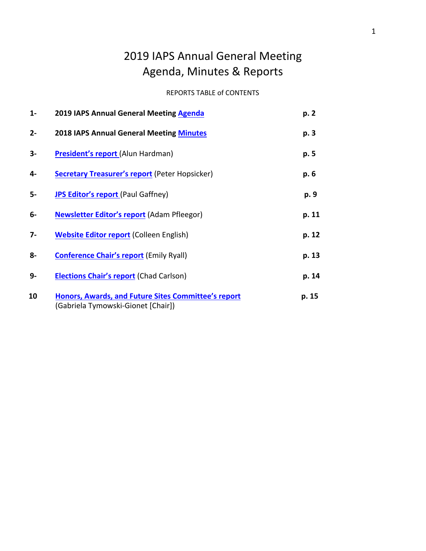# 2019 IAPS Annual General Meeting Agenda, Minutes & Reports

# REPORTS TABLE of CONTENTS

| $1 -$ | 2019 IAPS Annual General Meeting Agenda                                                         | p. 2  |
|-------|-------------------------------------------------------------------------------------------------|-------|
| $2 -$ | <b>2018 IAPS Annual General Meeting Minutes</b>                                                 | p. 3  |
| $3-$  | President's report (Alun Hardman)                                                               | p. 5  |
| 4-    | <b>Secretary Treasurer's report (Peter Hopsicker)</b>                                           | p. 6  |
| 5-    | <b>JPS Editor's report (Paul Gaffney)</b>                                                       | p. 9  |
| 6-    | <b>Newsletter Editor's report (Adam Pfleegor)</b>                                               | p. 11 |
| 7-    | <b>Website Editor report (Colleen English)</b>                                                  | p. 12 |
| 8-    | <b>Conference Chair's report (Emily Ryall)</b>                                                  | p. 13 |
| 9-    | <b>Elections Chair's report (Chad Carlson)</b>                                                  | p. 14 |
| 10    | <b>Honors, Awards, and Future Sites Committee's report</b><br>Gabriela Tymowski-Gionet [Chair]) | p. 15 |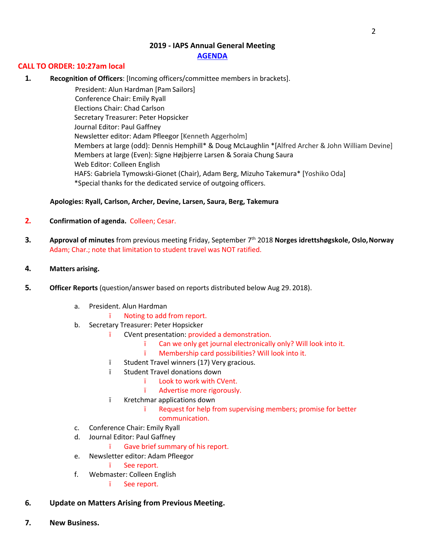# **2019 - IAPS Annual General Meeting**

# **AGENDA**

### **CALL TO ORDER: 10:27am local**

**1. Recognition of Officers**: [Incoming officers/committee members in brackets].

President: Alun Hardman [Pam Sailors] Conference Chair: Emily Ryall Elections Chair: Chad Carlson Secretary Treasurer: Peter Hopsicker Journal Editor: Paul Gaffney Newsletter editor: Adam Pfleegor [Kenneth Aggerholm] Members at large (odd): Dennis Hemphill\* & Doug McLaughlin \*[Alfred Archer & John William Devine] Members at large (Even): Signe Højbjerre Larsen & Soraia Chung Saura Web Editor: Colleen English HAFS: Gabriela Tymowski-Gionet (Chair), Adam Berg, Mizuho Takemura\* [Yoshiko Oda] \*Special thanks for the dedicated service of outgoing officers.

# **Apologies: Ryall, Carlson, Archer, Devine, Larsen, Saura, Berg, Takemura**

# **2. Confirmation of agenda.** Colleen; Cesar.

**3. Approval of minutes** from previous meeting Friday, September 7th 2018 **Norges idrettshøgskole, Oslo,Norway** Adam; Char.; note that limitation to student travel was NOT ratified.

### **4. Matters arising.**

- **5. Officer Reports** (question/answer based on reports distributed below Aug 29. 2018).
	- a. President. Alun Hardman
		- ï Noting to add from report.
	- b. Secretary Treasurer: Peter Hopsicker
		- ï CVent presentation: provided a demonstration.
			- ï Can we only get journal electronically only? Will look into it.
			- ï Membership card possibilities? Will look into it.
		- ï Student Travel winners (17) Very gracious.
		- ï Student Travel donations down
			- ï Look to work with CVent.
			- ï Advertise more rigorously.
		- ï Kretchmar applications down
			- ï Request for help from supervising members; promise for better communication.
	- c. Conference Chair: Emily Ryall
	- d. Journal Editor: Paul Gaffney
		- ï Gave brief summary of his report.
	- e. Newsletter editor: Adam Pfleegor
		- ï See report.
	- f. Webmaster: Colleen English
		- ï See report.
- **6. Update on Matters Arising from Previous Meeting.**
- **7. New Business.**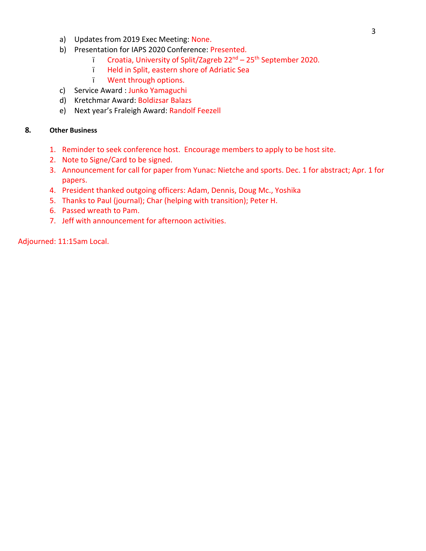- a) Updates from 2019 Exec Meeting: None.
- b) Presentation for IAPS 2020 Conference: Presented.
	- ï Croatia, University of Split/Zagreb 22nd 25th September 2020.
	- ï Held in Split, eastern shore of Adriatic Sea
	- ï Went through options.
- c) Service Award : Junko Yamaguchi
- d) Kretchmar Award: Boldizsar Balazs
- e) Next year's Fraleigh Award: Randolf Feezell

# **8. Other Business**

- 1. Reminder to seek conference host. Encourage members to apply to be host site.
- 2. Note to Signe/Card to be signed.
- 3. Announcement for call for paper from Yunac: Nietche and sports. Dec. 1 for abstract; Apr. 1 for papers.
- 4. President thanked outgoing officers: Adam, Dennis, Doug Mc., Yoshika
- 5. Thanks to Paul (journal); Char (helping with transition); Peter H.
- 6. Passed wreath to Pam.
- 7. Jeff with announcement for afternoon activities.

Adjourned: 11:15am Local.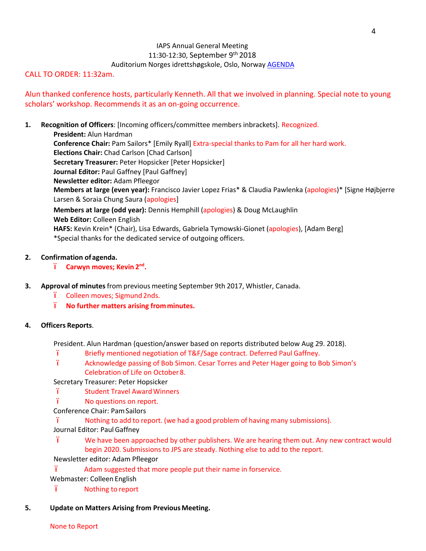# IAPS Annual General Meeting 11:30-12:30, September 9<sup>th</sup> 2018 Auditorium Norges idrettshøgskole, Oslo, Norway AGENDA

# CALL TO ORDER: 11:32am.

Alun thanked conference hosts, particularly Kenneth. All that we involved in planning. Special note to young scholars' workshop. Recommends it as an on-going occurrence.

# **1. Recognition of Officers**: [Incoming officers/committee members inbrackets]. Recognized.

**President:** Alun Hardman **Conference Chair:** Pam Sailors\* [Emily Ryall] Extra-special thanks to Pam for all her hard work. **Elections Chair:** Chad Carlson [Chad Carlson] **Secretary Treasurer:** Peter Hopsicker [Peter Hopsicker] **Journal Editor:** Paul Gaffney [Paul Gaffney] **Newsletter editor:** Adam Pfleegor **Members at large (even year):** Francisco Javier Lopez Frias\* & Claudia Pawlenka (apologies)\* [Signe Højbjerre Larsen & Soraia Chung Saura (apologies] **Members at large (odd year):** Dennis Hemphill (apologies) & Doug McLaughlin **Web Editor:** Colleen English **HAFS:** Kevin Krein\* (Chair), Lisa Edwards, Gabriela Tymowski-Gionet (apologies), [Adam Berg] \*Special thanks for the dedicated service of outgoing officers.

# **2. Confirmation ofagenda.**

- ï **Carwyn moves; Kevin 2nd.**
- **3. Approval of minutes**from previous meeting September 9th 2017, Whistler, Canada.
	- ï Colleen moves; Sigmund2nds.
	- ï **No further matters arising fromminutes.**

### **4. Officers Reports**.

President. Alun Hardman (question/answer based on reports distributed below Aug 29. 2018).

- ï Briefly mentioned negotiation of T&F/Sage contract. Deferred Paul Gaffney.
- ï Acknowledge passing of Bob Simon. Cesar Torres and Peter Hager going to Bob Simon's Celebration of Life on October 8.

Secretary Treasurer: Peter Hopsicker

- ï Student Travel AwardWinners
- ï No questions on report.
- Conference Chair: PamSailors

ï Nothing to add to report. (we had a good problem of having many submissions). Journal Editor: PaulGaffney

ï We have been approached by other publishers. We are hearing them out. Any new contract would begin 2020. Submissions to JPS are steady. Nothing else to add to the report.

- Newsletter editor: Adam Pfleegor
- ï Adam suggested that more people put their name in forservice.
- Webmaster: Colleen English
- ï Nothing to report
- **5. Update on Matters Arising from Previous Meeting.**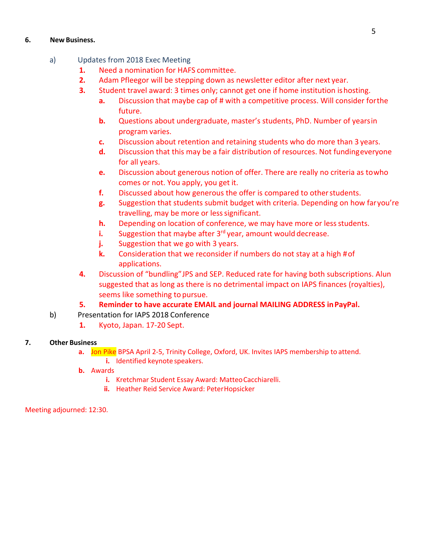# **6. New Business.**

- a) Updates from 2018 Exec Meeting
	- **1.** Need a nomination for HAFS committee.
	- **2.** Adam Pfleegor will be stepping down as newsletter editor after next year.
	- **3.** Student travel award: 3 times only; cannot get one if home institution ishosting.
		- **a.** Discussion that maybe cap of # with a competitive process. Will consider forthe future.
		- **b.** Questions about undergraduate, master's students, PhD. Number of yearsin program varies.
		- **c.** Discussion about retention and retaining students who do more than 3 years.
		- **d.** Discussion that this may be a fair distribution of resources. Not fundingeveryone for all years.
		- **e.** Discussion about generous notion of offer. There are really no criteria as towho comes or not. You apply, you get it.
		- **f.** Discussed about how generous the offer is compared to other students.
		- **g.** Suggestion that students submit budget with criteria. Depending on how faryou're travelling, may be more or less significant.
		- **h.** Depending on location of conference, we may have more or less students.
		- **i.** Suggestion that maybe after 3<sup>rd</sup> year, amount would decrease.
		- **j.** Suggestion that we go with 3 years.
		- **k.** Consideration that we reconsider if numbers do not stay at a high #of applications.
	- **4.** Discussion of "bundling"JPS and SEP. Reduced rate for having both subscriptions. Alun suggested that as long as there is no detrimental impact on IAPS finances (royalties), seems like something to pursue.

# **5. Reminder to have accurate EMAIL and journal MAILING ADDRESS inPayPal.**

- b) Presentation for IAPS 2018 Conference
	- **1.** Kyoto, Japan. 17-20 Sept.

# **7. Other Business**

- **a.** Jon Pike BPSA April 2-5, Trinity College, Oxford, UK. Invites IAPS membership to attend.
	- **i.** Identified keynote speakers.
- **b.** Awards
	- **i.** Kretchmar Student Essay Award: Matteo Cacchiarelli.
	- **ii.** Heather Reid Service Award: PeterHopsicker

Meeting adjourned: 12:30.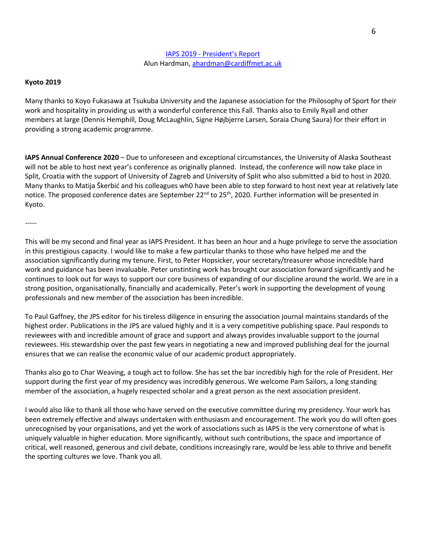### IAPS 2019 - President's Report Alun Hardman, ahardman@cardiffmet.ac.uk

#### **Kyoto 2019**

-----

Many thanks to Koyo Fukasawa at Tsukuba University and the Japanese association for the Philosophy of Sport for their work and hospitality in providing us with a wonderful conference this Fall. Thanks also to Emily Ryall and other members at large (Dennis Hemphill, Doug McLaughlin, Signe Højbjerre Larsen, Soraia Chung Saura) for their effort in providing a strong academic programme.

**IAPS Annual Conference 2020** – Due to unforeseen and exceptional circumstances, the University of Alaska Southeast will not be able to host next year's conference as originally planned. Instead, the conference will now take place in Split, Croatia with the support of University of Zagreb and University of Split who also submitted a bid to host in 2020. Many thanks to Matija Škerbić and his colleagues wh0 have been able to step forward to host next year at relatively late notice. The proposed conference dates are September 22<sup>nd</sup> to 25<sup>th</sup>, 2020. Further information will be presented in Kyoto.

This will be my second and final year as IAPS President. It has been an hour and a huge privilege to serve the association in this prestigious capacity. I would like to make a few particular thanks to those who have helped me and the association significantly during my tenure. First, to Peter Hopsicker, your secretary/treasurer whose incredible hard work and guidance has been invaluable. Peter unstinting work has brought our association forward significantly and he continues to look out for ways to support our core business of expanding of our discipline around the world. We are in a strong position, organisationally, financially and academically. Peter's work in supporting the development of young professionals and new member of the association has been incredible.

To Paul Gaffney, the JPS editor for his tireless diligence in ensuring the association journal maintains standards of the highest order. Publications in the JPS are valued highly and it is a very competitive publishing space. Paul responds to reviewees with and incredible amount of grace and support and always provides invaluable support to the journal reviewees. His stewardship over the past few years in negotiating a new and improved publishing deal for the journal ensures that we can realise the economic value of our academic product appropriately.

Thanks also go to Char Weaving, a tough act to follow. She has set the bar incredibly high for the role of President. Her support during the first year of my presidency was incredibly generous. We welcome Pam Sailors, a long standing member of the association, a hugely respected scholar and a great person as the next association president.

I would also like to thank all those who have served on the executive committee during my presidency. Your work has been extremely effective and always undertaken with enthusiasm and encouragement. The work you do will often goes unrecognised by your organisations, and yet the work of associations such as IAPS is the very cornerstone of what is uniquely valuable in higher education. More significantly, without such contributions, the space and importance of critical, well reasoned, generous and civil debate, conditions increasingly rare, would be less able to thrive and benefit the sporting cultures we love. Thank you all.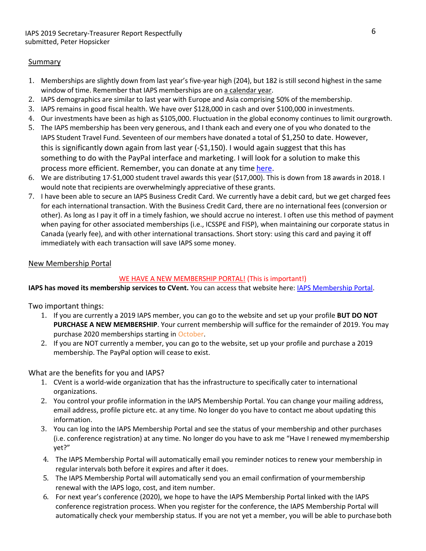# Summary

- 1. Memberships are slightly down from last year's five-year high (204), but 182 is still second highest in the same window of time. Remember that IAPS memberships are on a calendar year.
- 2. IAPS demographics are similar to last year with Europe and Asia comprising 50% of the membership.
- 3. IAPS remains in good fiscal health. We have over \$128,000 in cash and over \$100,000 ininvestments.
- 4. Our investments have been as high as \$105,000. Fluctuation in the global economy continues to limit ourgrowth.
- 5. The IAPS membership has been very generous, and I thank each and every one of you who donated to the IAPS Student Travel Fund. Seventeen of our members have donated a total of \$1,250 to date. However, this is significantly down again from last year (-\$1,150). I would again suggest that this has something to do with the PayPal interface and marketing. I will look for a solution to make this process more efficient. Remember, you can donate at any time here.
- 6. We are distributing 17-\$1,000 student travel awards this year (\$17,000). This is down from 18 awards in 2018. I would note that recipients are overwhelmingly appreciative of these grants.
- 7. I have been able to secure an IAPS Business Credit Card. We currently have a debit card, but we get charged fees for each international transaction. With the Business Credit Card, there are no international fees (conversion or other). As long as I pay it off in a timely fashion, we should accrue no interest. I often use this method of payment when paying for other associated memberships (i.e., ICSSPE and FISP), when maintaining our corporate status in Canada (yearly fee), and with other international transactions. Short story: using this card and paying it off immediately with each transaction will save IAPS some money.

# New Membership Portal

# WE HAVE A NEW MEMBERSHIP PORTAL! (This is important!)

**IAPS has moved its membership services to CVent.** You can access that website here: IAPS Membership Portal.

Two important things:

- 1. If you are currently a 2019 IAPS member, you can go to the website and set up your profile **BUT DO NOT PURCHASE A NEW MEMBERSHIP**. Your current membership will suffice for the remainder of 2019. You may purchase 2020 memberships starting in October.
- 2. If you are NOT currently a member, you can go to the website, set up your profile and purchase a 2019 membership. The PayPal option will cease to exist.

# What are the benefits for you and IAPS?

- 1. CVent is a world-wide organization that has the infrastructure to specifically cater to international organizations.
- 2. You control your profile information in the IAPS Membership Portal. You can change your mailing address, email address, profile picture etc. at any time. No longer do you have to contact me about updating this information.
- 3. You can log into the IAPS Membership Portal and see the status of your membership and other purchases (i.e. conference registration) at any time. No longer do you have to ask me "Have I renewed mymembership yet?"
- 4. The IAPS Membership Portal will automatically email you reminder notices to renew your membership in regular intervals both before it expires and after it does.
- 5. The IAPS Membership Portal will automatically send you an email confirmation of yourmembership renewal with the IAPS logo, cost, and item number.
- 6. For next year's conference (2020), we hope to have the IAPS Membership Portal linked with the IAPS conference registration process. When you register for the conference, the IAPS Membership Portal will automatically check your membership status. If you are not yet a member, you will be able to purchaseboth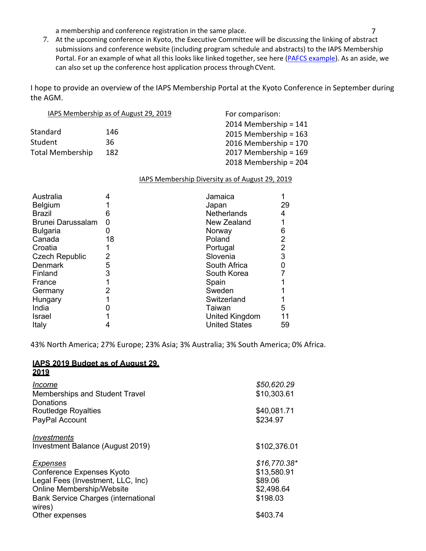a membership and conference registration in the same place. The same results of  $7$ 

7. At the upcoming conference in Kyoto, the Executive Committee will be discussing the linking of abstract submissions and conference website (including program schedule and abstracts) to the IAPS Membership Portal. For an example of what all this looks like linked together, see here (PAFCS example). As an aside, we can also set up the conference host application process through CVent.

I hope to provide an overview of the IAPS Membership Portal at the Kyoto Conference in September during the AGM.

|                  | IAPS Membership as of August 29, 2019 | For comparison:         |
|------------------|---------------------------------------|-------------------------|
|                  |                                       | 2014 Membership = $141$ |
| Standard         | 146                                   | 2015 Membership = $163$ |
| Student          | 36                                    | 2016 Membership = 170   |
| Total Membership | 182                                   | 2017 Membership = 169   |
|                  |                                       | 2018 Membership = 204   |

IAPS Membership Diversity as of August 29, 2019

| Australia                |    | Jamaica              |                |
|--------------------------|----|----------------------|----------------|
| <b>Belgium</b>           |    | Japan                | 29             |
| <b>Brazil</b>            | 6  | Netherlands          | 4              |
| <b>Brunei Darussalam</b> | 0  | New Zealand          |                |
| <b>Bulgaria</b>          |    | Norway               | 6              |
| Canada                   | 18 | Poland               | $\overline{2}$ |
| Croatia                  |    | Portugal             | $\overline{2}$ |
| <b>Czech Republic</b>    | 2  | Slovenia             | 3              |
| <b>Denmark</b>           | 5  | South Africa         |                |
| Finland                  | 3  | South Korea          |                |
| France                   |    | Spain                |                |
| Germany                  | 2  | Sweden               |                |
| Hungary                  |    | Switzerland          |                |
| India                    |    | Taiwan               | 5              |
| Israel                   |    | United Kingdom       |                |
| Italy                    |    | <b>United States</b> | 59             |

43% North America; 27% Europe; 23% Asia; 3% Australia; 3% South America; 0% Africa.

#### **IAPS 2019 Budget as of August 29, 2019**

| Income<br><b>Memberships and Student Travel</b><br>Donations                                                                                          | \$50,620.29<br>\$10,303.61                                        |
|-------------------------------------------------------------------------------------------------------------------------------------------------------|-------------------------------------------------------------------|
| <b>Routledge Royalties</b><br>PayPal Account                                                                                                          | \$40,081.71<br>\$234.97                                           |
| Investments<br>Investment Balance (August 2019)                                                                                                       | \$102,376.01                                                      |
| Expenses<br>Conference Expenses Kyoto<br>Legal Fees (Investment, LLC, Inc)<br>Online Membership/Website<br><b>Bank Service Charges (international</b> | $$16,770.38*$<br>\$13,580.91<br>\$89.06<br>\$2,498.64<br>\$198.03 |
| wires)<br>Other expenses                                                                                                                              | \$403.74                                                          |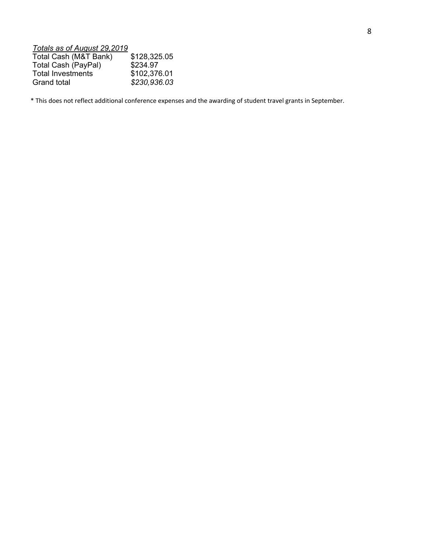# *Totals as of August 29,2019*

| Total Cash (M&T Bank) | \$128,325.05 |
|-----------------------|--------------|
| Total Cash (PayPal)   | \$234.97     |
| Total Investments     | \$102,376.01 |
| Grand total           | \$230,936.03 |

\* This does not reflect additional conference expenses and the awarding of student travel grants in September.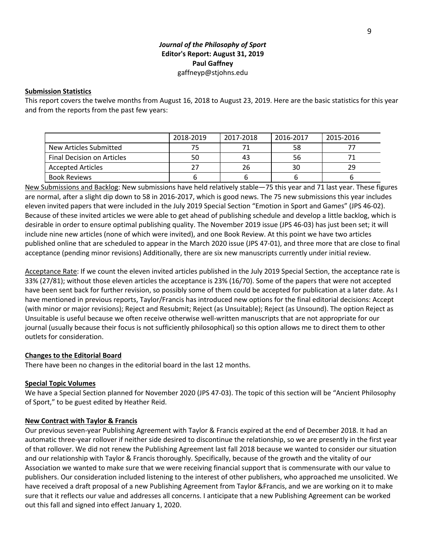# *Journal of the Philosophy of Sport*  **Editor's Report: August 31, 2019 Paul Gaffney**  gaffneyp@stjohns.edu

#### **Submission Statistics**

This report covers the twelve months from August 16, 2018 to August 23, 2019. Here are the basic statistics for this year and from the reports from the past few years:

|                            | 2018-2019 | 2017-2018 | 2016-2017 | 2015-2016 |
|----------------------------|-----------|-----------|-----------|-----------|
| New Articles Submitted     |           |           | 58        |           |
| Final Decision on Articles | 50        | 43        | 56        |           |
| <b>Accepted Articles</b>   |           | 26        | 30        | 29        |
| <b>Book Reviews</b>        |           |           |           |           |

New Submissions and Backlog: New submissions have held relatively stable—75 this year and 71 last year. These figures are normal, after a slight dip down to 58 in 2016-2017, which is good news. The 75 new submissions this year includes eleven invited papers that were included in the July 2019 Special Section "Emotion in Sport and Games" (JPS 46-02). Because of these invited articles we were able to get ahead of publishing schedule and develop a little backlog, which is desirable in order to ensure optimal publishing quality. The November 2019 issue (JPS 46-03) has just been set; it will include nine new articles (none of which were invited), and one Book Review. At this point we have two articles published online that are scheduled to appear in the March 2020 issue (JPS 47-01), and three more that are close to final acceptance (pending minor revisions) Additionally, there are six new manuscripts currently under initial review.

Acceptance Rate: If we count the eleven invited articles published in the July 2019 Special Section, the acceptance rate is 33% (27/81); without those eleven articles the acceptance is 23% (16/70). Some of the papers that were not accepted have been sent back for further revision, so possibly some of them could be accepted for publication at a later date. As I have mentioned in previous reports, Taylor/Francis has introduced new options for the final editorial decisions: Accept (with minor or major revisions); Reject and Resubmit; Reject (as Unsuitable); Reject (as Unsound). The option Reject as Unsuitable is useful because we often receive otherwise well-written manuscripts that are not appropriate for our journal (usually because their focus is not sufficiently philosophical) so this option allows me to direct them to other outlets for consideration.

#### **Changes to the Editorial Board**

There have been no changes in the editorial board in the last 12 months.

#### **Special Topic Volumes**

We have a Special Section planned for November 2020 (JPS 47-03). The topic of this section will be "Ancient Philosophy of Sport," to be guest edited by Heather Reid.

#### **New Contract with Taylor & Francis**

Our previous seven-year Publishing Agreement with Taylor & Francis expired at the end of December 2018. It had an automatic three-year rollover if neither side desired to discontinue the relationship, so we are presently in the first year of that rollover. We did not renew the Publishing Agreement last fall 2018 because we wanted to consider our situation and our relationship with Taylor & Francis thoroughly. Specifically, because of the growth and the vitality of our Association we wanted to make sure that we were receiving financial support that is commensurate with our value to publishers. Our consideration included listening to the interest of other publishers, who approached me unsolicited. We have received a draft proposal of a new Publishing Agreement from Taylor &Francis, and we are working on it to make sure that it reflects our value and addresses all concerns. I anticipate that a new Publishing Agreement can be worked out this fall and signed into effect January 1, 2020.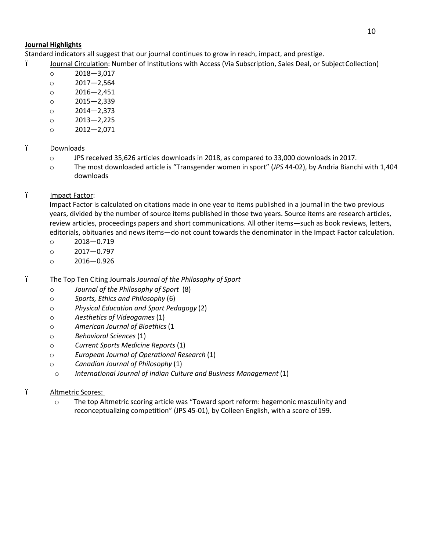# **Journal Highlights**

Standard indicators all suggest that our journal continues to grow in reach, impact, and prestige.

- ï Journal Circulation: Number of Institutions with Access (Via Subscription, Sales Deal, or SubjectCollection)
	- o 2018—3,017
	- o 2017—2,564
	- o 2016—2,451
	- o 2015—2,339
	- o 2014—2,373
	- o 2013—2,225
	- o 2012—2,071

# ï Downloads

- o JPS received 35,626 articles downloads in 2018, as compared to 33,000 downloads in 2017.
- o The most downloaded article is "Transgender women in sport" (*JPS* 44-02), by Andria Bianchi with 1,404 downloads

# i Impact Factor:

Impact Factor is calculated on citations made in one year to items published in a journal in the two previous years, divided by the number of source items published in those two years. Source items are research articles, review articles, proceedings papers and short communications. All other items—such as book reviews, letters, editorials, obituaries and news items—do not count towards the denominator in the Impact Factor calculation.

- o 2018—0.719
- o 2017—0.797
- o 2016—0.926
- ï The Top Ten Citing Journals *Journal of the Philosophy of Sport*
	- o *Journal of the Philosophy of Sport* (8)
	- o *Sports, Ethics and Philosophy* (6)
	- o *Physical Education and Sport Pedagogy* (2)
	- o *Aesthetics of Videogames* (1)
	- o *American Journal of Bioethics* (1
	- o *Behavioral Sciences* (1)
	- o *Current Sports Medicine Reports* (1)
	- o *European Journal of Operational Research* (1)
	- o *Canadian Journal of Philosophy* (1)
	- o *International Journal of Indian Culture and Business Management* (1)

# ï Altmetric Scores:

o The top Altmetric scoring article was "Toward sport reform: hegemonic masculinity and reconceptualizing competition" (JPS 45-01), by Colleen English, with a score of199.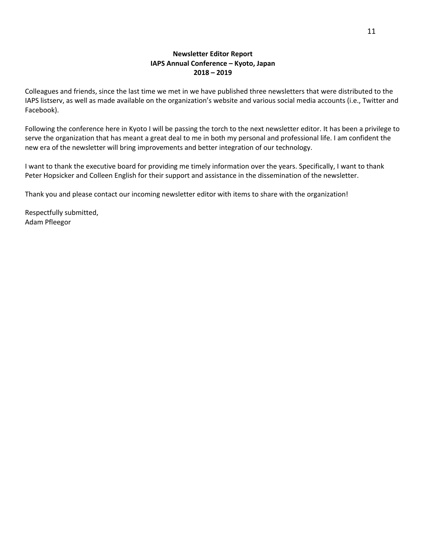# **Newsletter Editor Report IAPS Annual Conference – Kyoto, Japan 2018 – 2019**

Colleagues and friends, since the last time we met in we have published three newsletters that were distributed to the IAPS listserv, as well as made available on the organization's website and various social media accounts (i.e., Twitter and Facebook).

Following the conference here in Kyoto I will be passing the torch to the next newsletter editor. It has been a privilege to serve the organization that has meant a great deal to me in both my personal and professional life. I am confident the new era of the newsletter will bring improvements and better integration of our technology.

I want to thank the executive board for providing me timely information over the years. Specifically, I want to thank Peter Hopsicker and Colleen English for their support and assistance in the dissemination of the newsletter.

Thank you and please contact our incoming newsletter editor with items to share with the organization!

Respectfully submitted, Adam Pfleegor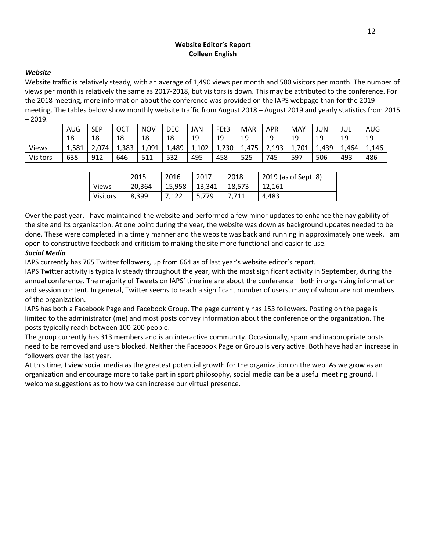# **Website Editor's Report Colleen English**

### *Website*

Website traffic is relatively steady, with an average of 1,490 views per month and 580 visitors per month. The number of views per month is relatively the same as 2017-2018, but visitors is down. This may be attributed to the conference. For the 2018 meeting, more information about the conference was provided on the IAPS webpage than for the 2019 meeting. The tables below show monthly website traffic from August 2018 – August 2019 and yearly statistics from 2015  $-2019.$ 

|                 | AUG   | <b>SEP</b> | ОСТ   | <b>NOV</b> | DEC   | JAN   | FEtB  | MAR   | <b>APR</b> | MAY   | <b>JUN</b> | JUL   | AUG   |
|-----------------|-------|------------|-------|------------|-------|-------|-------|-------|------------|-------|------------|-------|-------|
|                 | 18    | 18         | 18    | 18         | 18    | 19    | 19    | 19    | 19         | 19    | 19         | 19    | 19    |
| <b>Views</b>    | 1,581 | 2,074      | 1,383 | 1,091      | 1,489 | 1,102 | 1,230 | 1,475 | 2,193      | 1,701 | 1,439      | 1,464 | 1,146 |
| <b>Visitors</b> | 638   | 912        | 646   | 511        | 532   | 495   | 458   | 525   | 745        | 597   | 506        | 493   | 486   |

|                 | 2015   | 2016   | 2017   | 2018   | 2019 (as of Sept. 8) |
|-----------------|--------|--------|--------|--------|----------------------|
| <b>Views</b>    | 20.364 | 15.958 | 13.341 | 18.573 | 12.161               |
| <b>Visitors</b> | 8.399  |        | 5,779  |        | 4.483                |

Over the past year, I have maintained the website and performed a few minor updates to enhance the navigability of the site and its organization. At one point during the year, the website was down as background updates needed to be done. These were completed in a timely manner and the website was back and running in approximately one week. I am open to constructive feedback and criticism to making the site more functional and easier to use.

# *Social Media*

IAPS currently has 765 Twitter followers, up from 664 as of last year's website editor's report.

IAPS Twitter activity is typically steady throughout the year, with the most significant activity in September, during the annual conference. The majority of Tweets on IAPS' timeline are about the conference—both in organizing information and session content. In general, Twitter seems to reach a significant number of users, many of whom are not members of the organization.

IAPS has both a Facebook Page and Facebook Group. The page currently has 153 followers. Posting on the page is limited to the administrator (me) and most posts convey information about the conference or the organization. The posts typically reach between 100-200 people.

The group currently has 313 members and is an interactive community. Occasionally, spam and inappropriate posts need to be removed and users blocked. Neither the Facebook Page or Group is very active. Both have had an increase in followers over the last year.

At this time, I view social media as the greatest potential growth for the organization on the web. As we grow as an organization and encourage more to take part in sport philosophy, social media can be a useful meeting ground. I welcome suggestions as to how we can increase our virtual presence.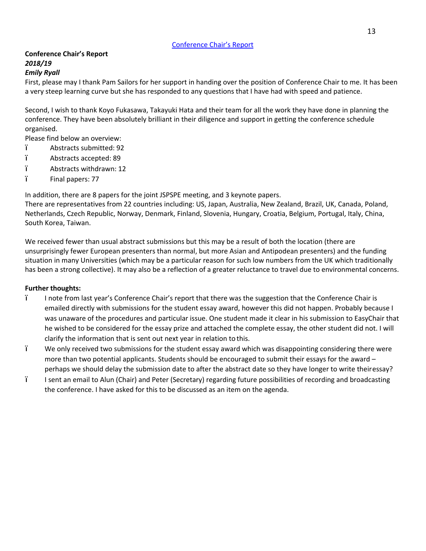# **Conference Chair's Report** *2018/19*

### *Emily Ryall*

First, please may I thank Pam Sailors for her support in handing over the position of Conference Chair to me. It has been a very steep learning curve but she has responded to any questions that I have had with speed and patience.

Second, I wish to thank Koyo Fukasawa, Takayuki Hata and their team for all the work they have done in planning the conference. They have been absolutely brilliant in their diligence and support in getting the conference schedule organised.

Please find below an overview:

- ï Abstracts submitted: 92
- ï Abstracts accepted: 89
- ï Abstracts withdrawn: 12
- ï Final papers: 77

In addition, there are 8 papers for the joint JSPSPE meeting, and 3 keynote papers.

There are representatives from 22 countries including: US, Japan, Australia, New Zealand, Brazil, UK, Canada, Poland, Netherlands, Czech Republic, Norway, Denmark, Finland, Slovenia, Hungary, Croatia, Belgium, Portugal, Italy, China, South Korea, Taiwan.

We received fewer than usual abstract submissions but this may be a result of both the location (there are unsurprisingly fewer European presenters than normal, but more Asian and Antipodean presenters) and the funding situation in many Universities (which may be a particular reason for such low numbers from the UK which traditionally has been a strong collective). It may also be a reflection of a greater reluctance to travel due to environmental concerns.

### **Further thoughts:**

- ï I note from last year's Conference Chair's report that there was the suggestion that the Conference Chair is emailed directly with submissions for the student essay award, however this did not happen. Probably because I was unaware of the procedures and particular issue. One student made it clear in his submission to EasyChair that he wished to be considered for the essay prize and attached the complete essay, the other student did not. I will clarify the information that is sent out next year in relation to this.
- ï We only received two submissions for the student essay award which was disappointing considering there were more than two potential applicants. Students should be encouraged to submit their essays for the award – perhaps we should delay the submission date to after the abstract date so they have longer to write theiressay?
- ï I sent an email to Alun (Chair) and Peter (Secretary) regarding future possibilities of recording and broadcasting the conference. I have asked for this to be discussed as an item on the agenda.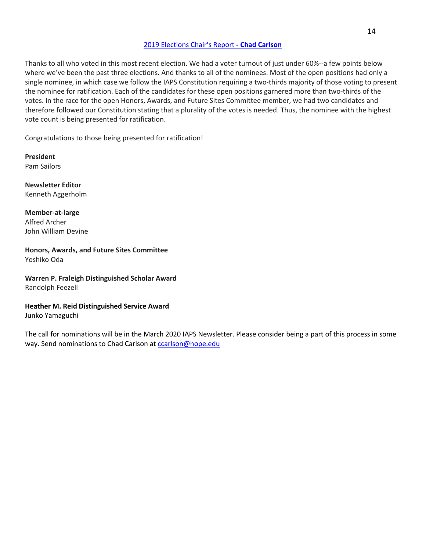### 2019 Elections Chair's Report **- Chad Carlson**

Thanks to all who voted in this most recent election. We had a voter turnout of just under 60%--a few points below where we've been the past three elections. And thanks to all of the nominees. Most of the open positions had only a single nominee, in which case we follow the IAPS Constitution requiring a two-thirds majority of those voting to present the nominee for ratification. Each of the candidates for these open positions garnered more than two-thirds of the votes. In the race for the open Honors, Awards, and Future Sites Committee member, we had two candidates and therefore followed our Constitution stating that a plurality of the votes is needed. Thus, the nominee with the highest vote count is being presented for ratification.

Congratulations to those being presented for ratification!

**President** Pam Sailors

**Newsletter Editor** Kenneth Aggerholm

**Member-at-large** Alfred Archer John William Devine

**Honors, Awards, and Future Sites Committee** Yoshiko Oda

**Warren P. Fraleigh Distinguished Scholar Award** Randolph Feezell

**Heather M. Reid Distinguished Service Award**

Junko Yamaguchi

The call for nominations will be in the March 2020 IAPS Newsletter. Please consider being a part of this process in some way. Send nominations to Chad Carlson at ccarlson@hope.edu